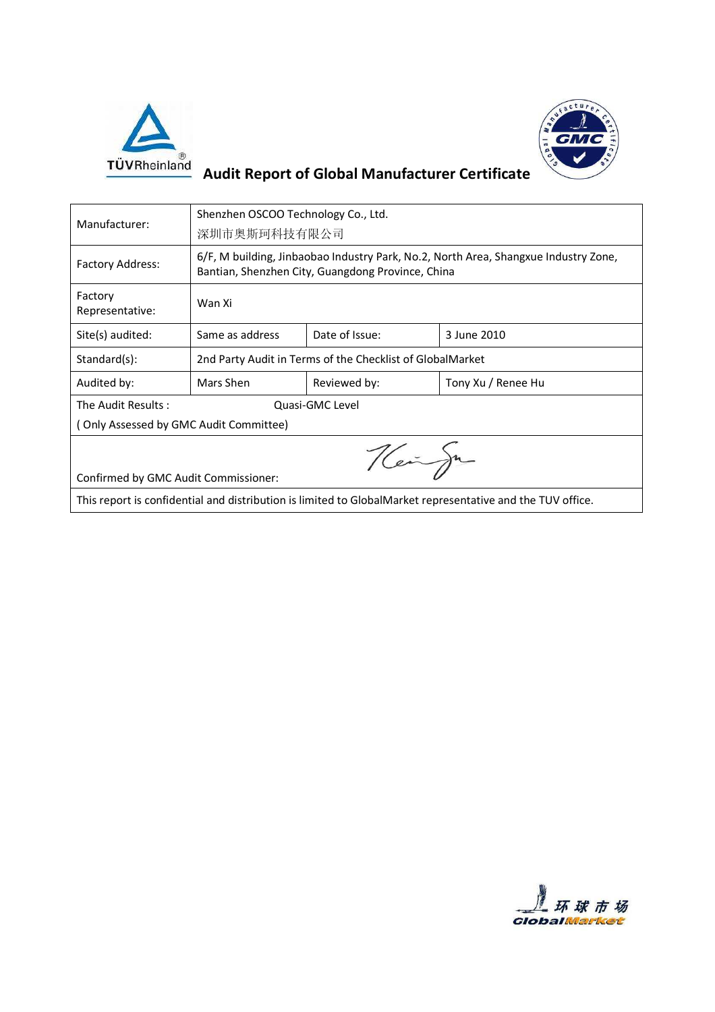



# Audit Report of Global Manufacturer Certificate

| Manufacturer:                                                                                              | Shenzhen OSCOO Technology Co., Ltd.<br>深圳市奥斯珂科技有限公司                                                                                      |                |             |  |
|------------------------------------------------------------------------------------------------------------|------------------------------------------------------------------------------------------------------------------------------------------|----------------|-------------|--|
| <b>Factory Address:</b>                                                                                    | 6/F, M building, Jinbaobao Industry Park, No.2, North Area, Shangxue Industry Zone,<br>Bantian, Shenzhen City, Guangdong Province, China |                |             |  |
| Factory<br>Representative:                                                                                 | Wan Xi                                                                                                                                   |                |             |  |
| Site(s) audited:                                                                                           | Same as address                                                                                                                          | Date of Issue: | 3 June 2010 |  |
| Standard(s):                                                                                               | 2nd Party Audit in Terms of the Checklist of GlobalMarket                                                                                |                |             |  |
| Audited by:                                                                                                | Mars Shen<br>Tony Xu / Renee Hu<br>Reviewed by:                                                                                          |                |             |  |
| The Audit Results :<br>Quasi-GMC Level                                                                     |                                                                                                                                          |                |             |  |
| Only Assessed by GMC Audit Committee)                                                                      |                                                                                                                                          |                |             |  |
| Kent<br>Confirmed by GMC Audit Commissioner:                                                               |                                                                                                                                          |                |             |  |
| This report is confidential and distribution is limited to GlobalMarket representative and the TUV office. |                                                                                                                                          |                |             |  |

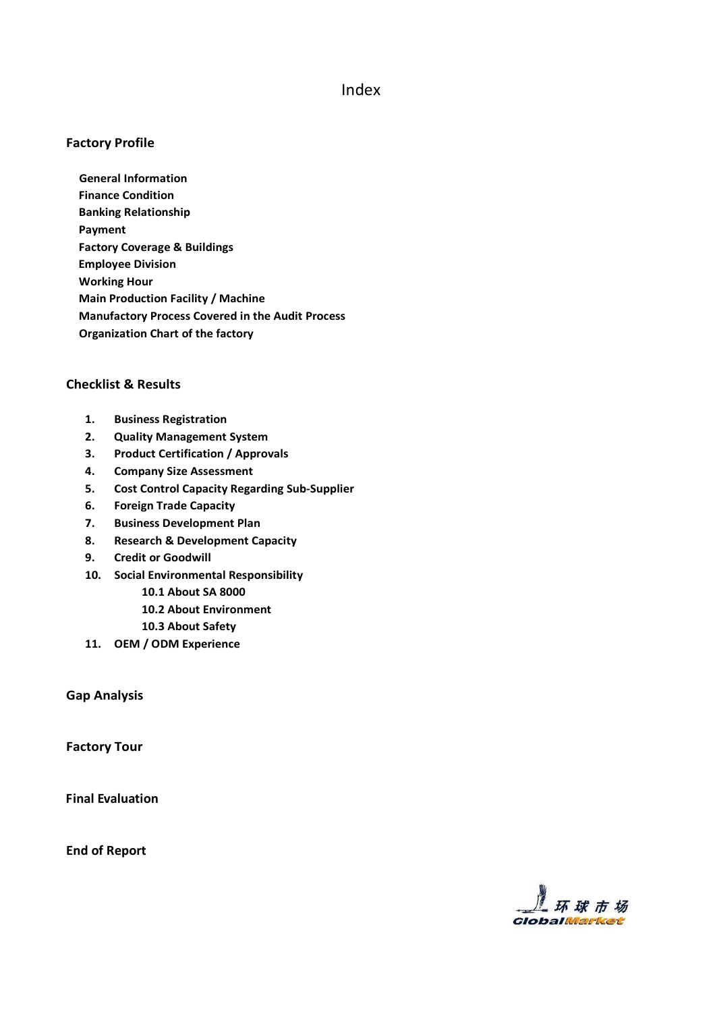## Index

#### Factory Profile

 General Information Finance Condition Banking Relationship Payment Factory Coverage & Buildings Employee Division Working Hour Main Production Facility / Machine Manufactory Process Covered in the Audit Process Organization Chart of the factory

#### Checklist & Results

- 1. Business Registration
- 2. Quality Management System
- 3. Product Certification / Approvals
- 4. Company Size Assessment
- 5. Cost Control Capacity Regarding Sub-Supplier
- 6. Foreign Trade Capacity
- 7. Business Development Plan
- 8. Research & Development Capacity
- 9. Credit or Goodwill
- 10. Social Environmental Responsibility
	- 10.1 About SA 8000
	- 10.2 About Environment
	- 10.3 About Safety
- 11. OEM / ODM Experience

Gap Analysis

Factory Tour

Final Evaluation

End of Report

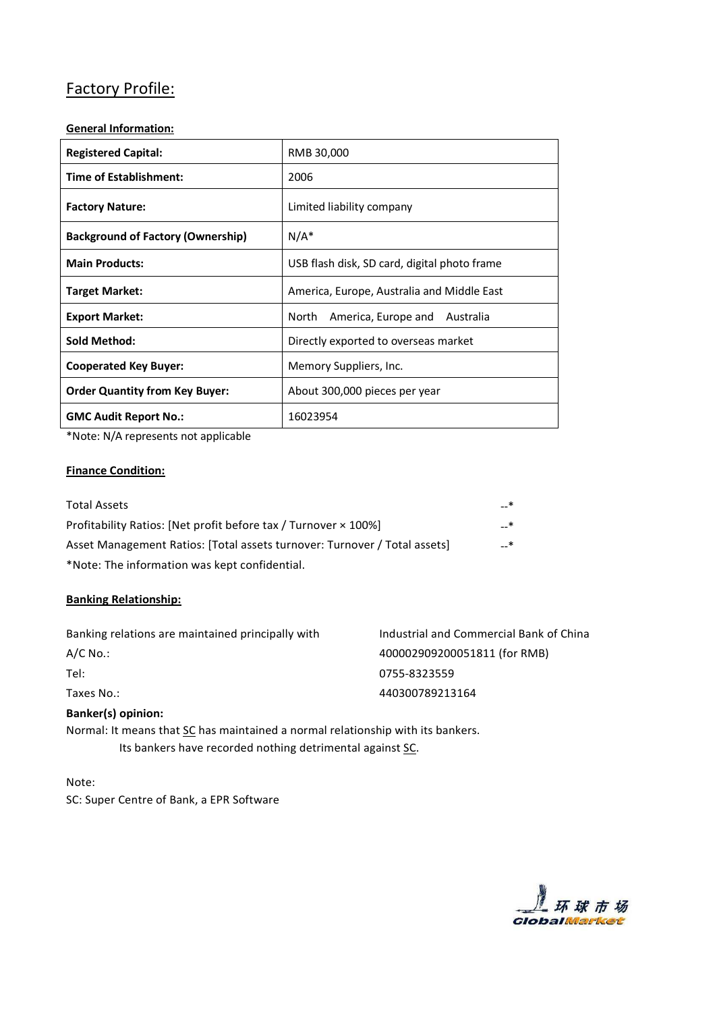# Factory Profile:

#### General Information:

| <b>Registered Capital:</b>               | RMB 30,000                                   |
|------------------------------------------|----------------------------------------------|
| <b>Time of Establishment:</b>            | 2006                                         |
| <b>Factory Nature:</b>                   | Limited liability company                    |
| <b>Background of Factory (Ownership)</b> | $N/A^*$                                      |
| <b>Main Products:</b>                    | USB flash disk, SD card, digital photo frame |
| <b>Target Market:</b>                    | America, Europe, Australia and Middle East   |
| <b>Export Market:</b>                    | America, Europe and Australia<br>North       |
| <b>Sold Method:</b>                      | Directly exported to overseas market         |
| <b>Cooperated Key Buyer:</b>             | Memory Suppliers, Inc.                       |
| <b>Order Quantity from Key Buyer:</b>    | About 300,000 pieces per year                |
| <b>GMC Audit Report No.:</b>             | 16023954                                     |

\*Note: N/A represents not applicable

#### Finance Condition:

| Total Assets                                                              |     |
|---------------------------------------------------------------------------|-----|
| Profitability Ratios: [Net profit before tax / Turnover $\times$ 100%]    | __* |
| Asset Management Ratios: [Total assets turnover: Turnover / Total assets] | —.* |
| *Note: The information was kept confidential.                             |     |

### Banking Relationship:

| Banker(s) opinion:                                |                                         |
|---------------------------------------------------|-----------------------------------------|
| Taxes No.:                                        | 440300789213164                         |
| Tel:                                              | 0755-8323559                            |
| $A/C$ No.:                                        | 400002909200051811 (for RMB)            |
| Banking relations are maintained principally with | Industrial and Commercial Bank of China |

Normal: It means that SC has maintained a normal relationship with its bankers. Its bankers have recorded nothing detrimental against SC.

Note: SC: Super Centre of Bank, a EPR Software

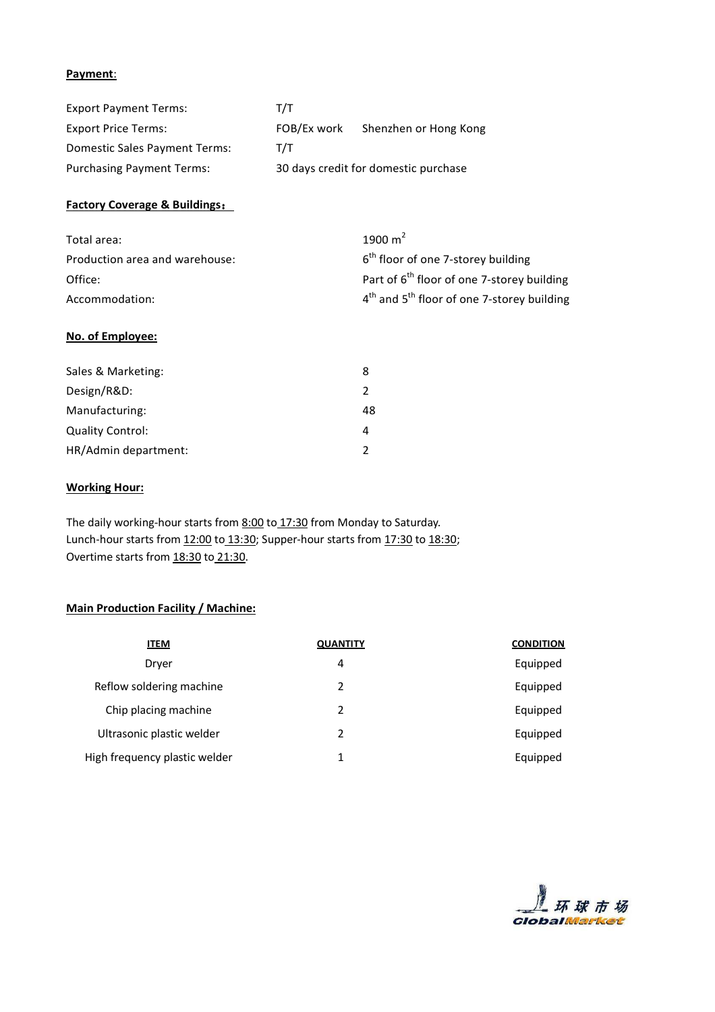#### Payment:

| <b>Export Payment Terms:</b>     | T/T         |                                      |
|----------------------------------|-------------|--------------------------------------|
| <b>Export Price Terms:</b>       | FOB/Ex work | Shenzhen or Hong Kong                |
| Domestic Sales Payment Terms:    | T/T         |                                      |
| <b>Purchasing Payment Terms:</b> |             | 30 days credit for domestic purchase |

### Factory Coverage & Buildings:

| Total area:                    | 1900 $m2$                                      |
|--------------------------------|------------------------------------------------|
| Production area and warehouse: | $6th$ floor of one 7-storey building           |
| Office:                        | Part of $6th$ floor of one 7-storey building   |
| Accommodation:                 | $4th$ and $5th$ floor of one 7-storey building |

#### No. of Employee:

| Sales & Marketing:      | 8             |
|-------------------------|---------------|
| Design/R&D:             | $\mathcal{P}$ |
| Manufacturing:          | 48            |
| <b>Quality Control:</b> | 4             |
| HR/Admin department:    |               |

#### Working Hour:

The daily working-hour starts from 8:00 to 17:30 from Monday to Saturday. Lunch-hour starts from 12:00 to 13:30; Supper-hour starts from 17:30 to 18:30; Overtime starts from 18:30 to 21:30.

#### Main Production Facility / Machine:

| <b>ITEM</b>                   | <b>QUANTITY</b> | <b>CONDITION</b> |
|-------------------------------|-----------------|------------------|
| Dryer                         | 4               | Equipped         |
| Reflow soldering machine      | 2               | Equipped         |
| Chip placing machine          | 2               | Equipped         |
| Ultrasonic plastic welder     | 2               | Equipped         |
| High frequency plastic welder | 1               | Equipped         |

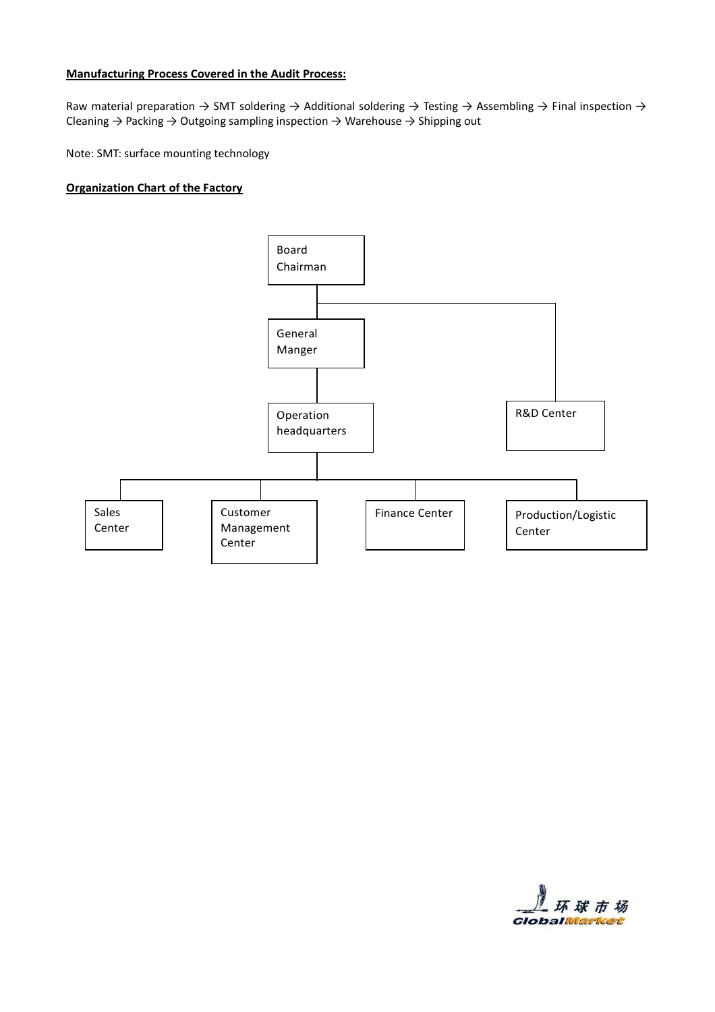#### Manufacturing Process Covered in the Audit Process:

Raw material preparation → SMT soldering → Additional soldering → Testing → Assembling → Final inspection → Cleaning  $\rightarrow$  Packing  $\rightarrow$  Outgoing sampling inspection  $\rightarrow$  Warehouse  $\rightarrow$  Shipping out

Note: SMT: surface mounting technology

#### Organization Chart of the Factory



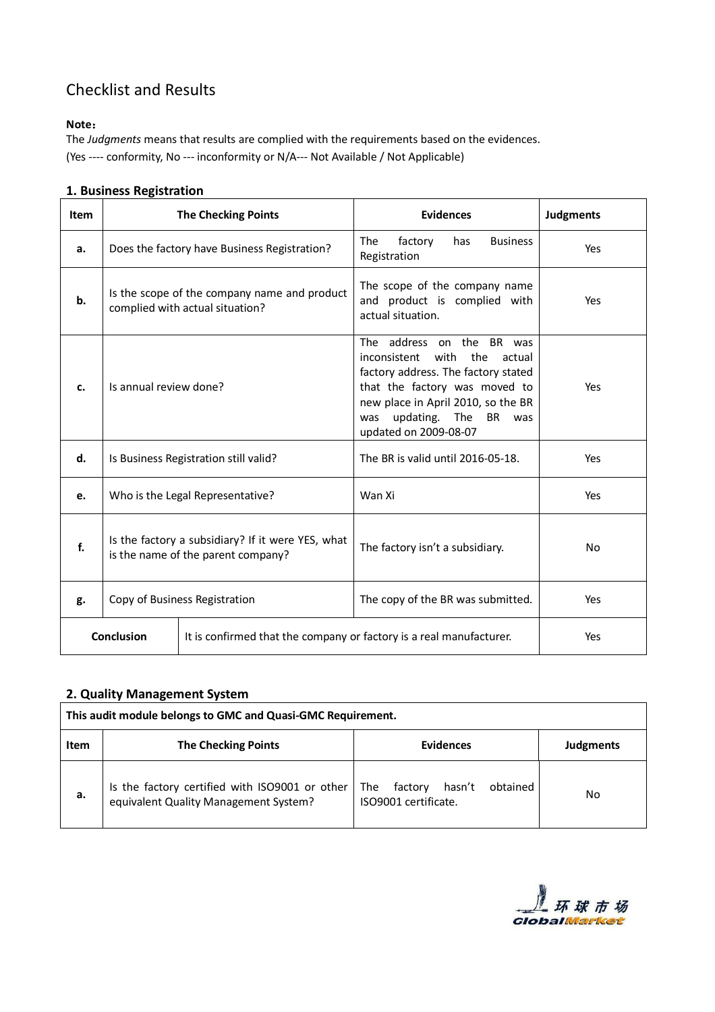# Checklist and Results

## Note:

The Judgments means that results are complied with the requirements based on the evidences. (Yes ---- conformity, No --- inconformity or N/A--- Not Available / Not Applicable)

| <b>Item</b>                                                                       |                                                                                         | <b>The Checking Points</b>                   | <b>Evidences</b>                                                                                                                                                                                                                | <b>Judgments</b> |
|-----------------------------------------------------------------------------------|-----------------------------------------------------------------------------------------|----------------------------------------------|---------------------------------------------------------------------------------------------------------------------------------------------------------------------------------------------------------------------------------|------------------|
| a.                                                                                |                                                                                         | Does the factory have Business Registration? | factory<br>The<br><b>Business</b><br>has<br>Registration                                                                                                                                                                        | Yes              |
| b.                                                                                | Is the scope of the company name and product<br>complied with actual situation?         |                                              | The scope of the company name<br>and product is complied with<br>actual situation.                                                                                                                                              | Yes              |
| c.                                                                                | Is annual review done?                                                                  |                                              | The address on the BR was<br>inconsistent with the<br>actual<br>factory address. The factory stated<br>that the factory was moved to<br>new place in April 2010, so the BR<br>was updating. The BR was<br>updated on 2009-08-07 | Yes              |
| d.                                                                                | Is Business Registration still valid?                                                   |                                              | The BR is valid until 2016-05-18.                                                                                                                                                                                               | Yes              |
| e.                                                                                | Who is the Legal Representative?                                                        |                                              | Wan Xi                                                                                                                                                                                                                          | Yes              |
| f.                                                                                | Is the factory a subsidiary? If it were YES, what<br>is the name of the parent company? |                                              | The factory isn't a subsidiary.                                                                                                                                                                                                 | No               |
| g.                                                                                | Copy of Business Registration                                                           |                                              | The copy of the BR was submitted.                                                                                                                                                                                               | Yes              |
| Conclusion<br>It is confirmed that the company or factory is a real manufacturer. |                                                                                         |                                              |                                                                                                                                                                                                                                 | Yes              |

## 1. Business Registration

## 2. Quality Management System

| This audit module belongs to GMC and Quasi-GMC Requirement. |                                                                                         |                                                              |                  |  |  |
|-------------------------------------------------------------|-----------------------------------------------------------------------------------------|--------------------------------------------------------------|------------------|--|--|
| <b>Item</b>                                                 | <b>The Checking Points</b>                                                              | <b>Evidences</b>                                             | <b>Judgments</b> |  |  |
| a.                                                          | Is the factory certified with ISO9001 or other<br>equivalent Quality Management System? | The<br>obtained<br>hasn't<br>factory<br>ISO9001 certificate. | No               |  |  |

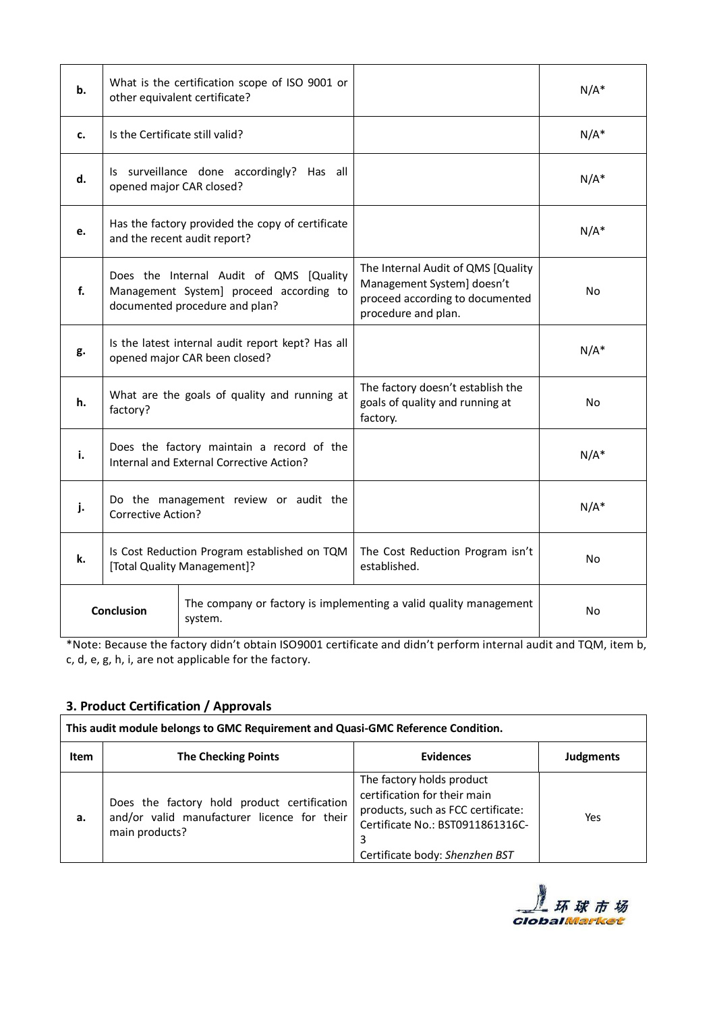| b.                                                                                                | What is the certification scope of ISO 9001 or<br>other equivalent certificate?                                      |    |                                                                                                                            | $N/A^*$ |
|---------------------------------------------------------------------------------------------------|----------------------------------------------------------------------------------------------------------------------|----|----------------------------------------------------------------------------------------------------------------------------|---------|
| c.                                                                                                | Is the Certificate still valid?                                                                                      |    |                                                                                                                            | $N/A^*$ |
| d.                                                                                                | Is surveillance done accordingly? Has all<br>opened major CAR closed?                                                |    |                                                                                                                            | $N/A^*$ |
| e.                                                                                                | Has the factory provided the copy of certificate<br>and the recent audit report?                                     |    |                                                                                                                            | $N/A^*$ |
| f.                                                                                                | Does the Internal Audit of QMS [Quality<br>Management System] proceed according to<br>documented procedure and plan? |    | The Internal Audit of QMS [Quality<br>Management System] doesn't<br>proceed according to documented<br>procedure and plan. | No      |
| g.                                                                                                | Is the latest internal audit report kept? Has all<br>opened major CAR been closed?                                   |    |                                                                                                                            | $N/A^*$ |
| h.                                                                                                | What are the goals of quality and running at<br>factory?                                                             |    | The factory doesn't establish the<br>goals of quality and running at<br>factory.                                           | No      |
| i.                                                                                                | Does the factory maintain a record of the<br>Internal and External Corrective Action?                                |    |                                                                                                                            | $N/A^*$ |
| j.                                                                                                | Do the management review or audit the<br>Corrective Action?                                                          |    |                                                                                                                            | $N/A^*$ |
| k.                                                                                                | Is Cost Reduction Program established on TQM<br>[Total Quality Management]?                                          |    | The Cost Reduction Program isn't<br>established.                                                                           | No      |
| The company or factory is implementing a valid quality management<br><b>Conclusion</b><br>system. |                                                                                                                      | No |                                                                                                                            |         |

\*Note: Because the factory didn't obtain ISO9001 certificate and didn't perform internal audit and TQM, item b, c, d, e, g, h, i, are not applicable for the factory.

# 3. Product Certification / Approvals

| This audit module belongs to GMC Requirement and Quasi-GMC Reference Condition. |                                                                                                              |                                                                                                                                                                            |                  |  |  |
|---------------------------------------------------------------------------------|--------------------------------------------------------------------------------------------------------------|----------------------------------------------------------------------------------------------------------------------------------------------------------------------------|------------------|--|--|
| Item                                                                            | <b>The Checking Points</b>                                                                                   | <b>Evidences</b>                                                                                                                                                           | <b>Judgments</b> |  |  |
| а.                                                                              | Does the factory hold product certification<br>and/or valid manufacturer licence for their<br>main products? | The factory holds product<br>certification for their main<br>products, such as FCC certificate:<br>Certificate No.: BST0911861316C-<br>3<br>Certificate body: Shenzhen BST | Yes              |  |  |

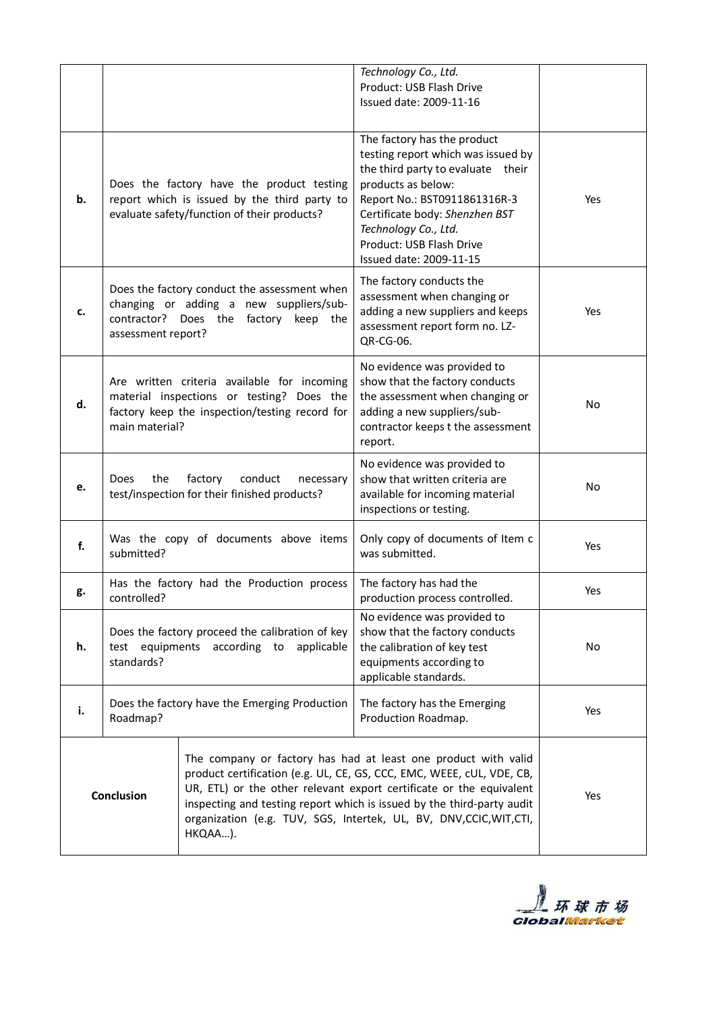|                       |                                                                                                                                                              |                                                                                                                                  | Technology Co., Ltd.<br>Product: USB Flash Drive<br>Issued date: 2009-11-16                                                                                                                                                                                                                                                                                  |     |
|-----------------------|--------------------------------------------------------------------------------------------------------------------------------------------------------------|----------------------------------------------------------------------------------------------------------------------------------|--------------------------------------------------------------------------------------------------------------------------------------------------------------------------------------------------------------------------------------------------------------------------------------------------------------------------------------------------------------|-----|
| b.                    | Does the factory have the product testing<br>report which is issued by the third party to<br>evaluate safety/function of their products?                     |                                                                                                                                  | The factory has the product<br>testing report which was issued by<br>the third party to evaluate their<br>products as below:<br>Report No.: BST0911861316R-3<br>Certificate body: Shenzhen BST<br>Technology Co., Ltd.<br>Product: USB Flash Drive<br>Issued date: 2009-11-15                                                                                | Yes |
| c.                    | assessment report?                                                                                                                                           | Does the factory conduct the assessment when<br>changing or adding a new suppliers/sub-<br>contractor? Does the factory keep the | The factory conducts the<br>assessment when changing or<br>adding a new suppliers and keeps<br>assessment report form no. LZ-<br>QR-CG-06.                                                                                                                                                                                                                   | Yes |
| d.                    | Are written criteria available for incoming<br>material inspections or testing? Does the<br>factory keep the inspection/testing record for<br>main material? |                                                                                                                                  | No evidence was provided to<br>show that the factory conducts<br>the assessment when changing or<br>adding a new suppliers/sub-<br>contractor keeps t the assessment<br>report.                                                                                                                                                                              | No  |
| e.                    | the<br>factory<br>conduct<br><b>Does</b><br>necessary<br>test/inspection for their finished products?                                                        |                                                                                                                                  | No evidence was provided to<br>show that written criteria are<br>available for incoming material<br>inspections or testing.                                                                                                                                                                                                                                  | No  |
| f.                    | Was the copy of documents above items<br>submitted?                                                                                                          |                                                                                                                                  | Only copy of documents of Item c<br>was submitted.                                                                                                                                                                                                                                                                                                           | Yes |
| g.                    | controlled?                                                                                                                                                  | Has the factory had the Production process                                                                                       | The factory has had the<br>production process controlled.                                                                                                                                                                                                                                                                                                    | Yes |
| h.                    | Does the factory proceed the calibration of key<br>test equipments according to applicable<br>standards?                                                     |                                                                                                                                  | No evidence was provided to<br>show that the factory conducts<br>the calibration of key test<br>equipments according to<br>applicable standards.                                                                                                                                                                                                             | No  |
| i.                    | Does the factory have the Emerging Production<br>Roadmap?                                                                                                    |                                                                                                                                  | The factory has the Emerging<br>Production Roadmap.                                                                                                                                                                                                                                                                                                          | Yes |
| Conclusion<br>HKQAA). |                                                                                                                                                              |                                                                                                                                  | The company or factory has had at least one product with valid<br>product certification (e.g. UL, CE, GS, CCC, EMC, WEEE, CUL, VDE, CB,<br>UR, ETL) or the other relevant export certificate or the equivalent<br>inspecting and testing report which is issued by the third-party audit<br>organization (e.g. TUV, SGS, Intertek, UL, BV, DNV,CCIC,WIT,CTI, | Yes |

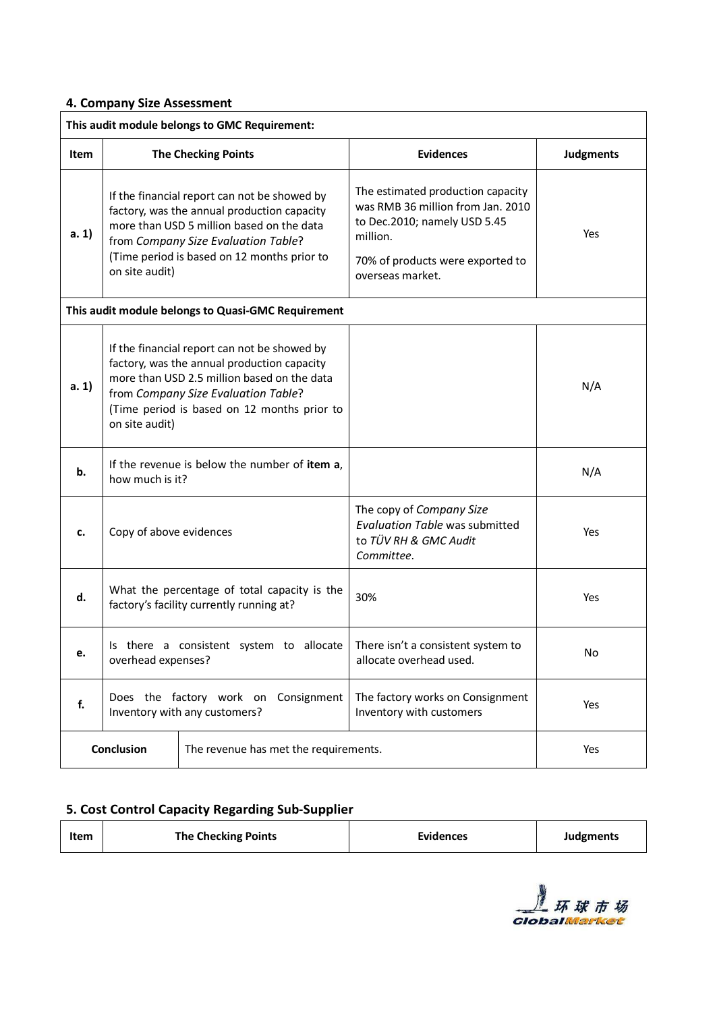## 4. Company Size Assessment

|                                                     | This audit module belongs to GMC Requirement:                                                                                                                                                                                                      |                                                    |                                                                                                                                                                            |                  |  |
|-----------------------------------------------------|----------------------------------------------------------------------------------------------------------------------------------------------------------------------------------------------------------------------------------------------------|----------------------------------------------------|----------------------------------------------------------------------------------------------------------------------------------------------------------------------------|------------------|--|
| <b>Item</b>                                         |                                                                                                                                                                                                                                                    | <b>The Checking Points</b>                         | <b>Evidences</b>                                                                                                                                                           | <b>Judgments</b> |  |
| a. 1)                                               | If the financial report can not be showed by<br>factory, was the annual production capacity<br>more than USD 5 million based on the data<br>from Company Size Evaluation Table?<br>(Time period is based on 12 months prior to<br>on site audit)   |                                                    | The estimated production capacity<br>was RMB 36 million from Jan. 2010<br>to Dec.2010; namely USD 5.45<br>million.<br>70% of products were exported to<br>overseas market. | Yes              |  |
|                                                     |                                                                                                                                                                                                                                                    | This audit module belongs to Quasi-GMC Requirement |                                                                                                                                                                            |                  |  |
| a. 1)                                               | If the financial report can not be showed by<br>factory, was the annual production capacity<br>more than USD 2.5 million based on the data<br>from Company Size Evaluation Table?<br>(Time period is based on 12 months prior to<br>on site audit) |                                                    |                                                                                                                                                                            | N/A              |  |
| b.                                                  | If the revenue is below the number of item a,<br>how much is it?                                                                                                                                                                                   |                                                    |                                                                                                                                                                            | N/A              |  |
| c.                                                  | Copy of above evidences                                                                                                                                                                                                                            |                                                    | The copy of Company Size<br><b>Evaluation Table was submitted</b><br>to TÜV RH & GMC Audit<br>Committee.                                                                   | Yes              |  |
| d.                                                  | What the percentage of total capacity is the<br>factory's facility currently running at?                                                                                                                                                           |                                                    | 30%                                                                                                                                                                        | Yes              |  |
| e.                                                  | Is there a consistent system to allocate<br>overhead expenses?                                                                                                                                                                                     |                                                    | There isn't a consistent system to<br>allocate overhead used.                                                                                                              | No               |  |
| f.                                                  | Does the factory work on Consignment<br>Inventory with any customers?                                                                                                                                                                              |                                                    | The factory works on Consignment<br>Inventory with customers                                                                                                               | Yes              |  |
| Conclusion<br>The revenue has met the requirements. |                                                                                                                                                                                                                                                    |                                                    |                                                                                                                                                                            | Yes              |  |

# 5. Cost Control Capacity Regarding Sub-Supplier

| Item | <b>The Checking Points</b> | <b>Evidences</b> | Judgments |
|------|----------------------------|------------------|-----------|
|------|----------------------------|------------------|-----------|

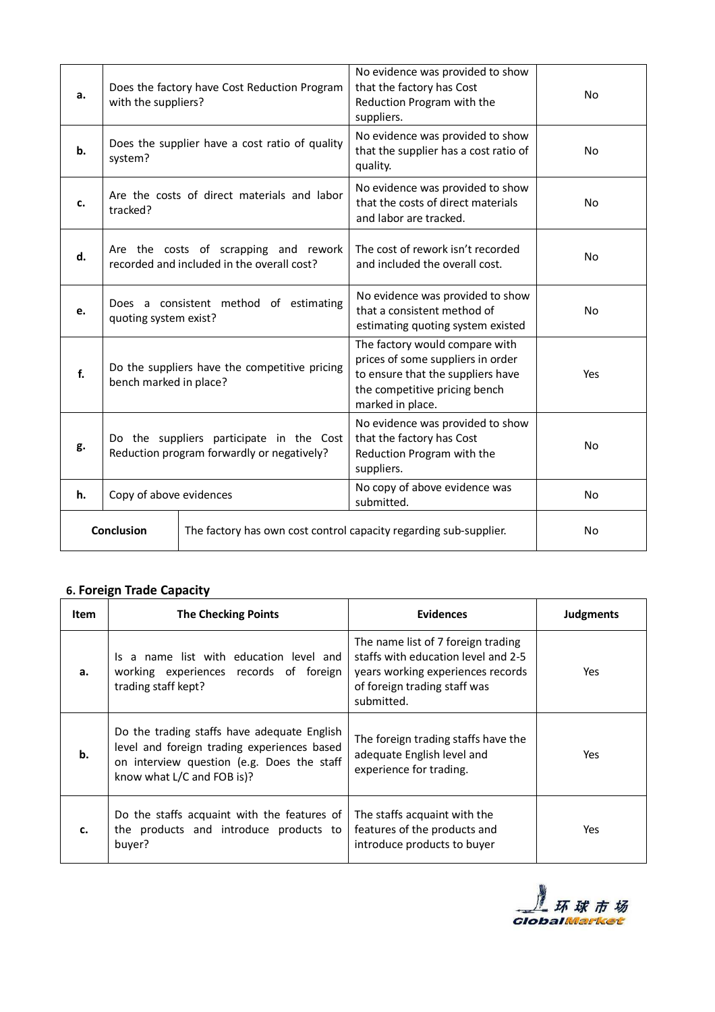| a.                                                                              | with the suppliers?                                                                    | Does the factory have Cost Reduction Program   | No evidence was provided to show<br>that the factory has Cost<br>Reduction Program with the<br>suppliers.                                                     | <b>No</b>      |
|---------------------------------------------------------------------------------|----------------------------------------------------------------------------------------|------------------------------------------------|---------------------------------------------------------------------------------------------------------------------------------------------------------------|----------------|
| b.                                                                              | system?                                                                                | Does the supplier have a cost ratio of quality | No evidence was provided to show<br>that the supplier has a cost ratio of<br>quality.                                                                         | N <sub>o</sub> |
| c.                                                                              | tracked?                                                                               | Are the costs of direct materials and labor    | No evidence was provided to show<br>that the costs of direct materials<br>and labor are tracked.                                                              | <b>No</b>      |
| d.                                                                              | Are the costs of scrapping and rework<br>recorded and included in the overall cost?    |                                                | The cost of rework isn't recorded<br>and included the overall cost.                                                                                           | N <sub>o</sub> |
| e.                                                                              | Does a consistent method of estimating<br>quoting system exist?                        |                                                | No evidence was provided to show<br>that a consistent method of<br>estimating quoting system existed                                                          | <b>No</b>      |
| f.                                                                              | Do the suppliers have the competitive pricing<br>bench marked in place?                |                                                | The factory would compare with<br>prices of some suppliers in order<br>to ensure that the suppliers have<br>the competitive pricing bench<br>marked in place. | Yes            |
| g.                                                                              | Do the suppliers participate in the Cost<br>Reduction program forwardly or negatively? |                                                | No evidence was provided to show<br>that the factory has Cost<br>Reduction Program with the<br>suppliers.                                                     | <b>No</b>      |
| h.                                                                              | Copy of above evidences                                                                |                                                | No copy of above evidence was<br>submitted.                                                                                                                   | <b>No</b>      |
| Conclusion<br>The factory has own cost control capacity regarding sub-supplier. |                                                                                        |                                                | <b>No</b>                                                                                                                                                     |                |

# 6. Foreign Trade Capacity

| <b>Item</b> | <b>The Checking Points</b>                                                                                                                                             | <b>Evidences</b>                                                                                                                                             | Judgments |
|-------------|------------------------------------------------------------------------------------------------------------------------------------------------------------------------|--------------------------------------------------------------------------------------------------------------------------------------------------------------|-----------|
| а.          | a name list with education level and<br>Is<br>working experiences records of foreign<br>trading staff kept?                                                            | The name list of 7 foreign trading<br>staffs with education level and 2-5<br>years working experiences records<br>of foreign trading staff was<br>submitted. | Yes       |
| b.          | Do the trading staffs have adequate English<br>level and foreign trading experiences based<br>on interview question (e.g. Does the staff<br>know what L/C and FOB is)? | The foreign trading staffs have the<br>adequate English level and<br>experience for trading.                                                                 | Yes       |
| c.          | Do the staffs acquaint with the features of<br>the products and introduce products to<br>buyer?                                                                        | The staffs acquaint with the<br>features of the products and<br>introduce products to buyer                                                                  | Yes       |

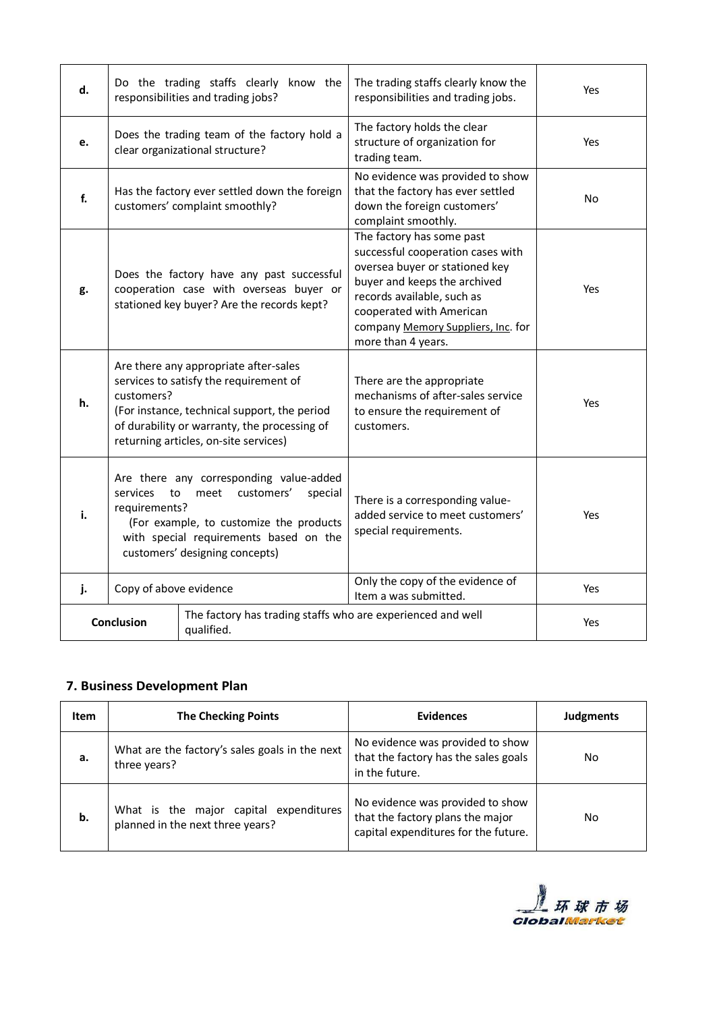| d.                                                                                             |                                                                                                                                                                                                                                        | Do the trading staffs clearly know the<br>responsibilities and trading jobs?                                                       | The trading staffs clearly know the<br>responsibilities and trading jobs.                                                                                                                                                                              | Yes |
|------------------------------------------------------------------------------------------------|----------------------------------------------------------------------------------------------------------------------------------------------------------------------------------------------------------------------------------------|------------------------------------------------------------------------------------------------------------------------------------|--------------------------------------------------------------------------------------------------------------------------------------------------------------------------------------------------------------------------------------------------------|-----|
| e.                                                                                             |                                                                                                                                                                                                                                        | Does the trading team of the factory hold a<br>clear organizational structure?                                                     | The factory holds the clear<br>structure of organization for<br>trading team.                                                                                                                                                                          | Yes |
| f.                                                                                             | Has the factory ever settled down the foreign<br>customers' complaint smoothly?                                                                                                                                                        |                                                                                                                                    | No evidence was provided to show<br>that the factory has ever settled<br>down the foreign customers'<br>complaint smoothly.                                                                                                                            | No  |
| g.                                                                                             |                                                                                                                                                                                                                                        | Does the factory have any past successful<br>cooperation case with overseas buyer or<br>stationed key buyer? Are the records kept? | The factory has some past<br>successful cooperation cases with<br>oversea buyer or stationed key<br>buyer and keeps the archived<br>records available, such as<br>cooperated with American<br>company Memory Suppliers, Inc. for<br>more than 4 years. | Yes |
| h.                                                                                             | Are there any appropriate after-sales<br>services to satisfy the requirement of<br>customers?<br>(For instance, technical support, the period<br>of durability or warranty, the processing of<br>returning articles, on-site services) |                                                                                                                                    | There are the appropriate<br>mechanisms of after-sales service<br>to ensure the requirement of<br>customers.                                                                                                                                           | Yes |
| i.                                                                                             | Are there any corresponding value-added<br>meet<br>customers'<br>services<br>to<br>special<br>requirements?<br>(For example, to customize the products<br>with special requirements based on the<br>customers' designing concepts)     |                                                                                                                                    | There is a corresponding value-<br>added service to meet customers'<br>special requirements.                                                                                                                                                           | Yes |
| j.                                                                                             | Copy of above evidence                                                                                                                                                                                                                 |                                                                                                                                    | Only the copy of the evidence of<br>Item a was submitted.                                                                                                                                                                                              | Yes |
| The factory has trading staffs who are experienced and well<br><b>Conclusion</b><br>qualified. |                                                                                                                                                                                                                                        |                                                                                                                                    |                                                                                                                                                                                                                                                        | Yes |

# 7. Business Development Plan

| <b>Item</b> | <b>The Checking Points</b>                                                 | <b>Evidences</b>                                                                                             | <b>Judgments</b> |
|-------------|----------------------------------------------------------------------------|--------------------------------------------------------------------------------------------------------------|------------------|
| a.          | What are the factory's sales goals in the next<br>three years?             | No evidence was provided to show<br>that the factory has the sales goals<br>in the future.                   | No.              |
| b.          | What is the major capital expenditures<br>planned in the next three years? | No evidence was provided to show<br>that the factory plans the major<br>capital expenditures for the future. | No.              |

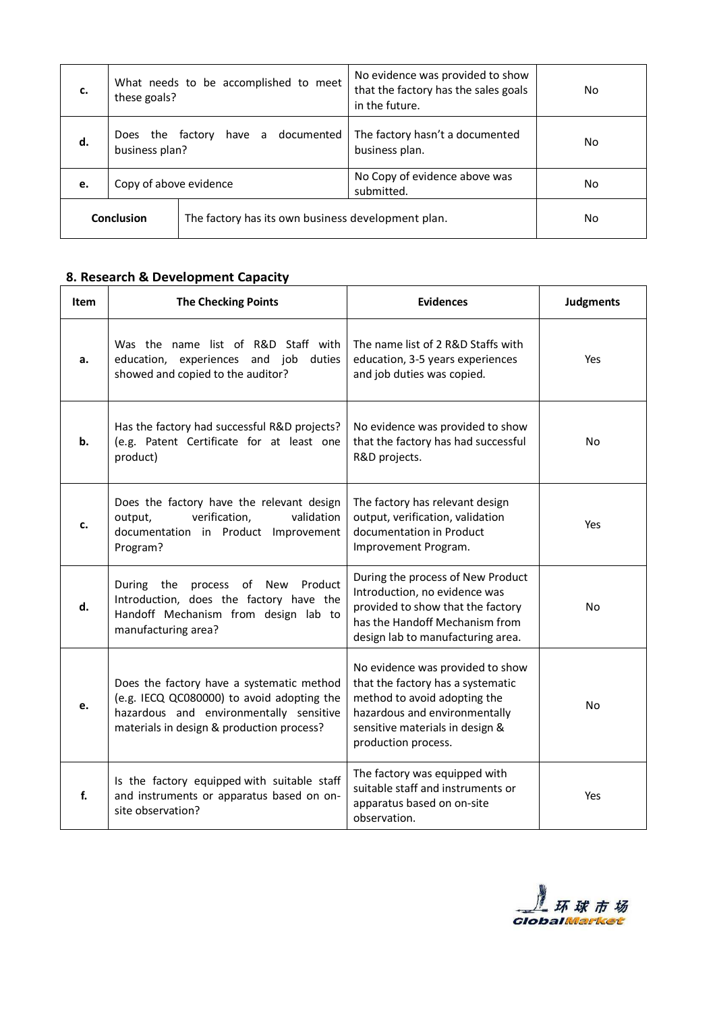| c.         | What needs to be accomplished to meet<br>these goals?   |                                                    | No evidence was provided to show<br>that the factory has the sales goals<br>in the future. | No. |
|------------|---------------------------------------------------------|----------------------------------------------------|--------------------------------------------------------------------------------------------|-----|
| d.         | have a documented<br>Does the factory<br>business plan? |                                                    | The factory hasn't a documented<br>business plan.                                          | No. |
| e.         | Copy of above evidence                                  |                                                    | No Copy of evidence above was<br>submitted.                                                | No. |
| Conclusion |                                                         | The factory has its own business development plan. |                                                                                            | No. |

# 8. Research & Development Capacity

| <b>Item</b> | <b>The Checking Points</b>                                                                                                                                                      | <b>Evidences</b>                                                                                                                                                                                 | <b>Judgments</b> |
|-------------|---------------------------------------------------------------------------------------------------------------------------------------------------------------------------------|--------------------------------------------------------------------------------------------------------------------------------------------------------------------------------------------------|------------------|
| a.          | Was the name list of R&D Staff with<br>education, experiences and job duties<br>showed and copied to the auditor?                                                               | The name list of 2 R&D Staffs with<br>education, 3-5 years experiences<br>and job duties was copied.                                                                                             | Yes              |
| b.          | Has the factory had successful R&D projects?<br>(e.g. Patent Certificate for at least one<br>product)                                                                           | No evidence was provided to show<br>that the factory has had successful<br>R&D projects.                                                                                                         | <b>No</b>        |
| c.          | Does the factory have the relevant design<br>verification,<br>validation<br>output,<br>documentation in Product Improvement<br>Program?                                         | The factory has relevant design<br>output, verification, validation<br>documentation in Product<br>Improvement Program.                                                                          | Yes              |
| d.          | During the<br>process of New Product<br>Introduction, does the factory have the<br>Handoff Mechanism from design lab to<br>manufacturing area?                                  | During the process of New Product<br>Introduction, no evidence was<br>provided to show that the factory<br>has the Handoff Mechanism from<br>design lab to manufacturing area.                   | <b>No</b>        |
| e.          | Does the factory have a systematic method<br>(e.g. IECQ QC080000) to avoid adopting the<br>hazardous and environmentally sensitive<br>materials in design & production process? | No evidence was provided to show<br>that the factory has a systematic<br>method to avoid adopting the<br>hazardous and environmentally<br>sensitive materials in design &<br>production process. | No               |
| f.          | Is the factory equipped with suitable staff<br>and instruments or apparatus based on on-<br>site observation?                                                                   | The factory was equipped with<br>suitable staff and instruments or<br>apparatus based on on-site<br>observation.                                                                                 | Yes              |

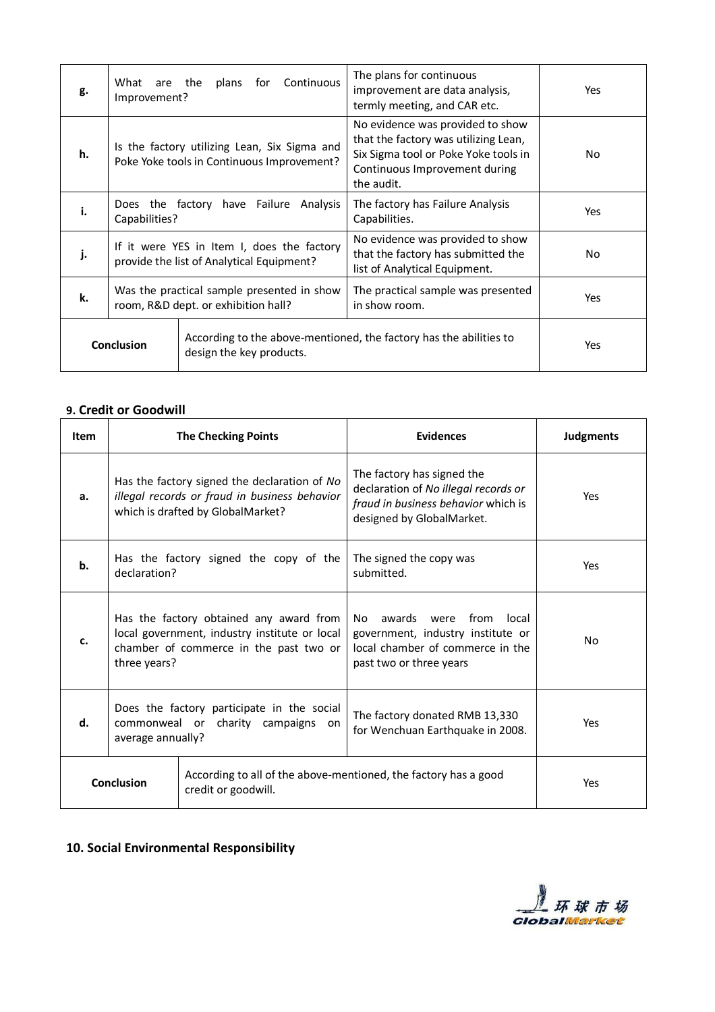| g.                                            | What<br>Improvement?                                                                       | Continuous<br>are the<br>plans<br>for | The plans for continuous<br>improvement are data analysis,<br>termly meeting, and CAR etc.                                                                      | Yes |
|-----------------------------------------------|--------------------------------------------------------------------------------------------|---------------------------------------|-----------------------------------------------------------------------------------------------------------------------------------------------------------------|-----|
| h.                                            | Is the factory utilizing Lean, Six Sigma and<br>Poke Yoke tools in Continuous Improvement? |                                       | No evidence was provided to show<br>that the factory was utilizing Lean,<br>Six Sigma tool or Poke Yoke tools in<br>Continuous Improvement during<br>the audit. | No  |
| i.                                            | Does the factory have Failure Analysis<br>Capabilities?                                    |                                       | The factory has Failure Analysis<br>Capabilities.                                                                                                               | Yes |
| j.                                            | If it were YES in Item I, does the factory<br>provide the list of Analytical Equipment?    |                                       | No evidence was provided to show<br>that the factory has submitted the<br>list of Analytical Equipment.                                                         | No  |
| k.                                            | Was the practical sample presented in show<br>room, R&D dept. or exhibition hall?          |                                       | The practical sample was presented<br>in show room.                                                                                                             | Yes |
| <b>Conclusion</b><br>design the key products. |                                                                                            |                                       | According to the above-mentioned, the factory has the abilities to                                                                                              | Yes |

## 9. Credit or Goodwill

| Item                              |                                                                                                                                                    | <b>The Checking Points</b>                                      | <b>Evidences</b>                                                                                                                        | <b>Judgments</b> |
|-----------------------------------|----------------------------------------------------------------------------------------------------------------------------------------------------|-----------------------------------------------------------------|-----------------------------------------------------------------------------------------------------------------------------------------|------------------|
| a.                                | Has the factory signed the declaration of No<br>illegal records or fraud in business behavior<br>which is drafted by GlobalMarket?                 |                                                                 | The factory has signed the<br>declaration of No illegal records or<br>fraud in business behavior which is<br>designed by GlobalMarket.  | Yes              |
| b.                                | Has the factory signed the copy of the<br>declaration?                                                                                             |                                                                 | The signed the copy was<br>submitted.                                                                                                   | Yes              |
| c.                                | Has the factory obtained any award from<br>local government, industry institute or local<br>chamber of commerce in the past two or<br>three years? |                                                                 | awards were<br>from<br>local<br>No.<br>government, industry institute or<br>local chamber of commerce in the<br>past two or three years | No               |
| d.                                | Does the factory participate in the social<br>commonweal or charity campaigns on<br>average annually?                                              |                                                                 | The factory donated RMB 13,330<br>for Wenchuan Earthquake in 2008.                                                                      | Yes              |
| Conclusion<br>credit or goodwill. |                                                                                                                                                    | According to all of the above-mentioned, the factory has a good |                                                                                                                                         | Yes              |

# 10. Social Environmental Responsibility

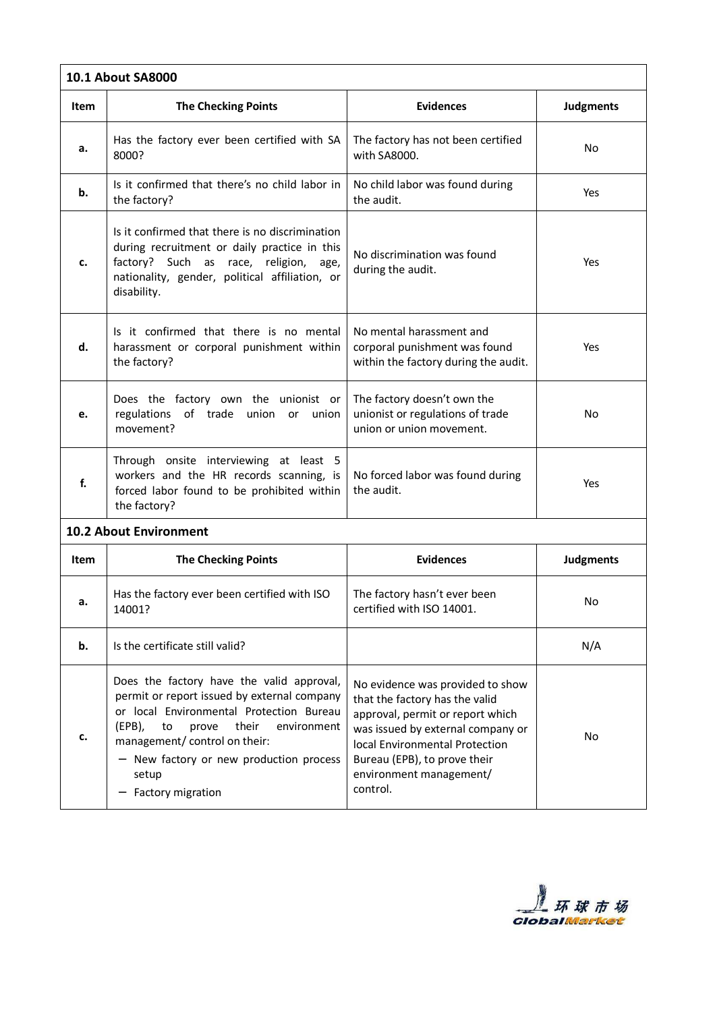| 10.1 About SA8000 |                                                                                                                                                                                                                                                                                                  |                                                                                                                                                                                                                                                      |                  |  |  |
|-------------------|--------------------------------------------------------------------------------------------------------------------------------------------------------------------------------------------------------------------------------------------------------------------------------------------------|------------------------------------------------------------------------------------------------------------------------------------------------------------------------------------------------------------------------------------------------------|------------------|--|--|
| Item              | <b>The Checking Points</b>                                                                                                                                                                                                                                                                       | <b>Evidences</b>                                                                                                                                                                                                                                     | <b>Judgments</b> |  |  |
| а.                | Has the factory ever been certified with SA<br>8000?                                                                                                                                                                                                                                             | The factory has not been certified<br>with SA8000.                                                                                                                                                                                                   | No               |  |  |
| b.                | Is it confirmed that there's no child labor in<br>the factory?                                                                                                                                                                                                                                   | No child labor was found during<br>the audit.                                                                                                                                                                                                        | Yes              |  |  |
| c.                | Is it confirmed that there is no discrimination<br>during recruitment or daily practice in this<br>factory? Such as race, religion,<br>age,<br>nationality, gender, political affiliation, or<br>disability.                                                                                     | No discrimination was found<br>during the audit.                                                                                                                                                                                                     | Yes              |  |  |
| d.                | Is it confirmed that there is no mental<br>harassment or corporal punishment within<br>the factory?                                                                                                                                                                                              | No mental harassment and<br>corporal punishment was found<br>within the factory during the audit.                                                                                                                                                    | Yes              |  |  |
| e.                | Does the factory own the unionist or<br>regulations<br>of trade union or union<br>movement?                                                                                                                                                                                                      | The factory doesn't own the<br>unionist or regulations of trade<br>union or union movement.                                                                                                                                                          | No               |  |  |
| f.                | Through onsite interviewing at least 5<br>workers and the HR records scanning, is<br>forced labor found to be prohibited within<br>the factory?                                                                                                                                                  | No forced labor was found during<br>the audit.                                                                                                                                                                                                       | Yes              |  |  |
|                   | <b>10.2 About Environment</b>                                                                                                                                                                                                                                                                    |                                                                                                                                                                                                                                                      |                  |  |  |
| Item              | <b>The Checking Points</b>                                                                                                                                                                                                                                                                       | <b>Evidences</b>                                                                                                                                                                                                                                     | <b>Judgments</b> |  |  |
| а.                | Has the factory ever been certified with ISO<br>14001?                                                                                                                                                                                                                                           | The factory hasn't ever been<br>certified with ISO 14001.                                                                                                                                                                                            | No               |  |  |
| b.                | Is the certificate still valid?                                                                                                                                                                                                                                                                  |                                                                                                                                                                                                                                                      | N/A              |  |  |
| c.                | Does the factory have the valid approval,<br>permit or report issued by external company<br>or local Environmental Protection Bureau<br>$(EPB)$ ,<br>their<br>environment<br>prove<br>to<br>management/ control on their:<br>New factory or new production process<br>setup<br>Factory migration | No evidence was provided to show<br>that the factory has the valid<br>approval, permit or report which<br>was issued by external company or<br>local Environmental Protection<br>Bureau (EPB), to prove their<br>environment management/<br>control. | No               |  |  |

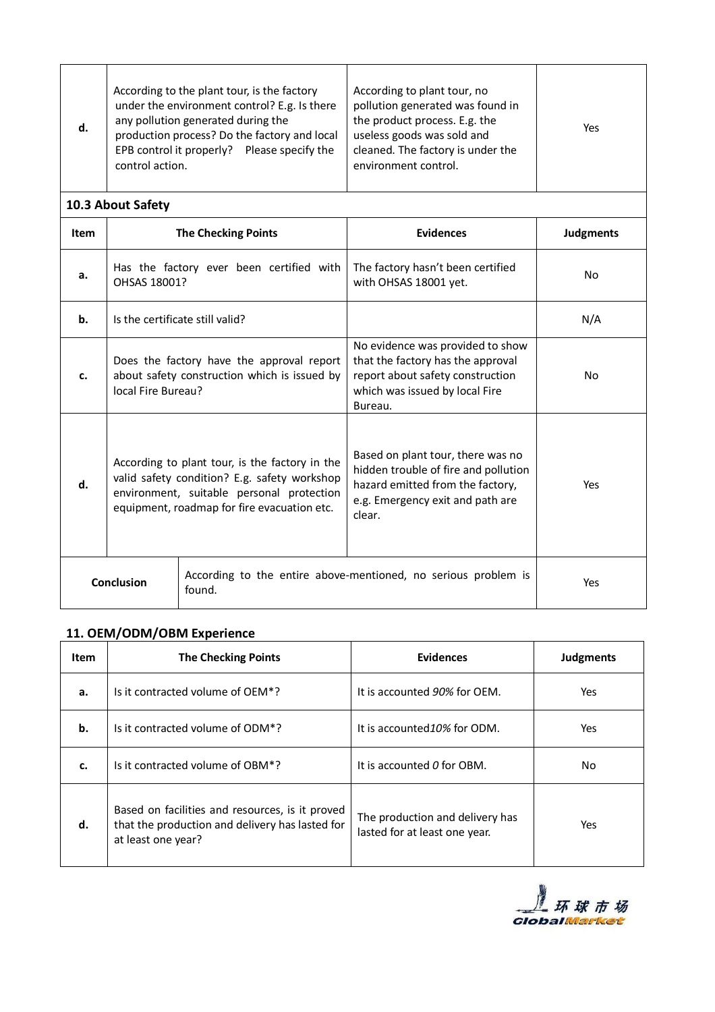| d.                          | control action.                                                                                                                                                                            | According to the plant tour, is the factory<br>under the environment control? E.g. Is there<br>any pollution generated during the<br>production process? Do the factory and local<br>EPB control it properly? Please specify the | According to plant tour, no<br>pollution generated was found in<br>the product process. E.g. the<br>useless goods was sold and<br>cleaned. The factory is under the<br>environment control. | Yes              |
|-----------------------------|--------------------------------------------------------------------------------------------------------------------------------------------------------------------------------------------|----------------------------------------------------------------------------------------------------------------------------------------------------------------------------------------------------------------------------------|---------------------------------------------------------------------------------------------------------------------------------------------------------------------------------------------|------------------|
| 10.3 About Safety           |                                                                                                                                                                                            |                                                                                                                                                                                                                                  |                                                                                                                                                                                             |                  |
| <b>Item</b>                 |                                                                                                                                                                                            | <b>The Checking Points</b>                                                                                                                                                                                                       | <b>Evidences</b>                                                                                                                                                                            | <b>Judgments</b> |
| a.                          | OHSAS 18001?                                                                                                                                                                               | Has the factory ever been certified with                                                                                                                                                                                         | The factory hasn't been certified<br>with OHSAS 18001 yet.                                                                                                                                  | No               |
| b.                          | Is the certificate still valid?                                                                                                                                                            |                                                                                                                                                                                                                                  |                                                                                                                                                                                             | N/A              |
| c.                          | Does the factory have the approval report<br>about safety construction which is issued by<br>local Fire Bureau?                                                                            |                                                                                                                                                                                                                                  | No evidence was provided to show<br>that the factory has the approval<br>report about safety construction<br>which was issued by local Fire<br>Bureau.                                      | No               |
| d.                          | According to plant tour, is the factory in the<br>valid safety condition? E.g. safety workshop<br>environment, suitable personal protection<br>equipment, roadmap for fire evacuation etc. |                                                                                                                                                                                                                                  | Based on plant tour, there was no<br>hidden trouble of fire and pollution<br>hazard emitted from the factory,<br>e.g. Emergency exit and path are<br>clear.                                 | Yes              |
| <b>Conclusion</b><br>found. |                                                                                                                                                                                            |                                                                                                                                                                                                                                  | According to the entire above-mentioned, no serious problem is                                                                                                                              | Yes              |

# 11. OEM/ODM/OBM Experience

| <b>Item</b> | <b>The Checking Points</b>                                                                                               | <b>Evidences</b>                                                 | <b>Judgments</b> |
|-------------|--------------------------------------------------------------------------------------------------------------------------|------------------------------------------------------------------|------------------|
| а.          | Is it contracted volume of OEM*?                                                                                         | It is accounted 90% for OEM.                                     | Yes              |
| b.          | Is it contracted volume of ODM*?                                                                                         | It is accounted 10% for ODM.                                     | Yes              |
| c.          | Is it contracted volume of OBM*?                                                                                         | It is accounted $\theta$ for OBM.                                | No               |
| d.          | Based on facilities and resources, is it proved<br>that the production and delivery has lasted for<br>at least one year? | The production and delivery has<br>lasted for at least one year. | <b>Yes</b>       |

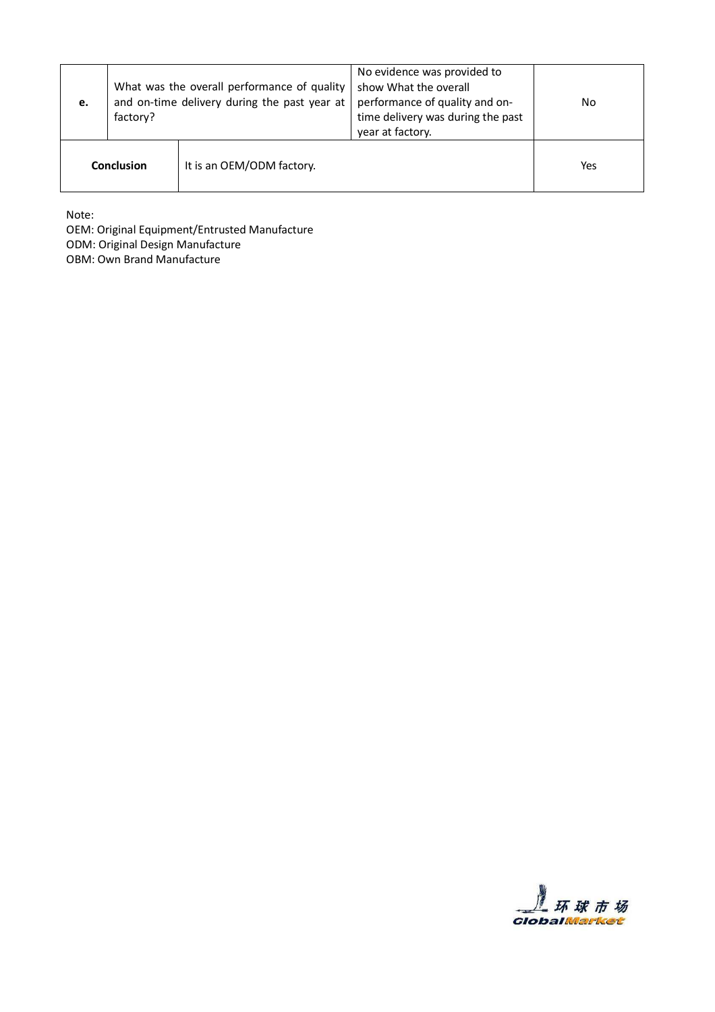| е.                | What was the overall performance of quality<br>and on-time delivery during the past year at<br>factory? |                           | No evidence was provided to<br>show What the overall<br>performance of quality and on-<br>time delivery was during the past<br>year at factory. | No  |
|-------------------|---------------------------------------------------------------------------------------------------------|---------------------------|-------------------------------------------------------------------------------------------------------------------------------------------------|-----|
| <b>Conclusion</b> |                                                                                                         | It is an OEM/ODM factory. |                                                                                                                                                 | Yes |

Note:

OEM: Original Equipment/Entrusted Manufacture ODM: Original Design Manufacture OBM: Own Brand Manufacture

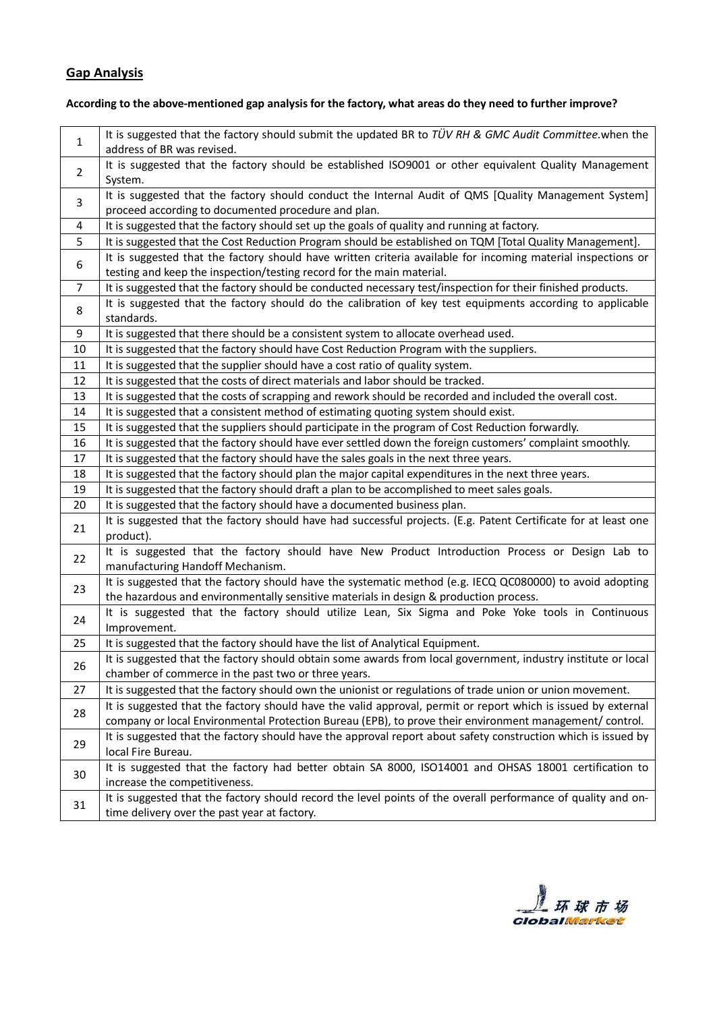# Gap Analysis

## According to the above-mentioned gap analysis for the factory, what areas do they need to further improve?

| $\mathbf{1}$   | It is suggested that the factory should submit the updated BR to TÜV RH & GMC Audit Committee.when the<br>address of BR was revised.                                                               |  |
|----------------|----------------------------------------------------------------------------------------------------------------------------------------------------------------------------------------------------|--|
| $\overline{2}$ | It is suggested that the factory should be established ISO9001 or other equivalent Quality Management<br>System.                                                                                   |  |
| 3              | It is suggested that the factory should conduct the Internal Audit of QMS [Quality Management System]<br>proceed according to documented procedure and plan.                                       |  |
| 4              | It is suggested that the factory should set up the goals of quality and running at factory.                                                                                                        |  |
| 5              | It is suggested that the Cost Reduction Program should be established on TQM [Total Quality Management].                                                                                           |  |
| 6              | It is suggested that the factory should have written criteria available for incoming material inspections or<br>testing and keep the inspection/testing record for the main material.              |  |
| 7              | It is suggested that the factory should be conducted necessary test/inspection for their finished products.                                                                                        |  |
| 8              | It is suggested that the factory should do the calibration of key test equipments according to applicable<br>standards.                                                                            |  |
| 9              | It is suggested that there should be a consistent system to allocate overhead used.                                                                                                                |  |
| 10             | It is suggested that the factory should have Cost Reduction Program with the suppliers.                                                                                                            |  |
| 11             | It is suggested that the supplier should have a cost ratio of quality system.                                                                                                                      |  |
| 12             | It is suggested that the costs of direct materials and labor should be tracked.                                                                                                                    |  |
| 13             | It is suggested that the costs of scrapping and rework should be recorded and included the overall cost.                                                                                           |  |
| 14             | It is suggested that a consistent method of estimating quoting system should exist.                                                                                                                |  |
| 15             | It is suggested that the suppliers should participate in the program of Cost Reduction forwardly.                                                                                                  |  |
| 16             | It is suggested that the factory should have ever settled down the foreign customers' complaint smoothly.                                                                                          |  |
| 17             | It is suggested that the factory should have the sales goals in the next three years.                                                                                                              |  |
| 18             | It is suggested that the factory should plan the major capital expenditures in the next three years.                                                                                               |  |
| 19             | It is suggested that the factory should draft a plan to be accomplished to meet sales goals.                                                                                                       |  |
| 20             | It is suggested that the factory should have a documented business plan.                                                                                                                           |  |
| 21             | It is suggested that the factory should have had successful projects. (E.g. Patent Certificate for at least one<br>product).                                                                       |  |
| 22             | It is suggested that the factory should have New Product Introduction Process or Design Lab to<br>manufacturing Handoff Mechanism.                                                                 |  |
| 23             | It is suggested that the factory should have the systematic method (e.g. IECQ QC080000) to avoid adopting<br>the hazardous and environmentally sensitive materials in design & production process. |  |
| 24             | It is suggested that the factory should utilize Lean, Six Sigma and Poke Yoke tools in Continuous<br>Improvement.                                                                                  |  |
| 25             | It is suggested that the factory should have the list of Analytical Equipment.                                                                                                                     |  |
| 26             | It is suggested that the factory should obtain some awards from local government, industry institute or local<br>chamber of commerce in the past two or three years.                               |  |
| 27             | It is suggested that the factory should own the unionist or regulations of trade union or union movement.                                                                                          |  |
|                | It is suggested that the factory should have the valid approval, permit or report which is issued by external                                                                                      |  |
| 28             | company or local Environmental Protection Bureau (EPB), to prove their environment management/ control.                                                                                            |  |
| 29             | It is suggested that the factory should have the approval report about safety construction which is issued by<br>local Fire Bureau.                                                                |  |
| 30             | It is suggested that the factory had better obtain SA 8000, ISO14001 and OHSAS 18001 certification to<br>increase the competitiveness.                                                             |  |
| 31             | It is suggested that the factory should record the level points of the overall performance of quality and on-<br>time delivery over the past year at factory.                                      |  |

工作球市场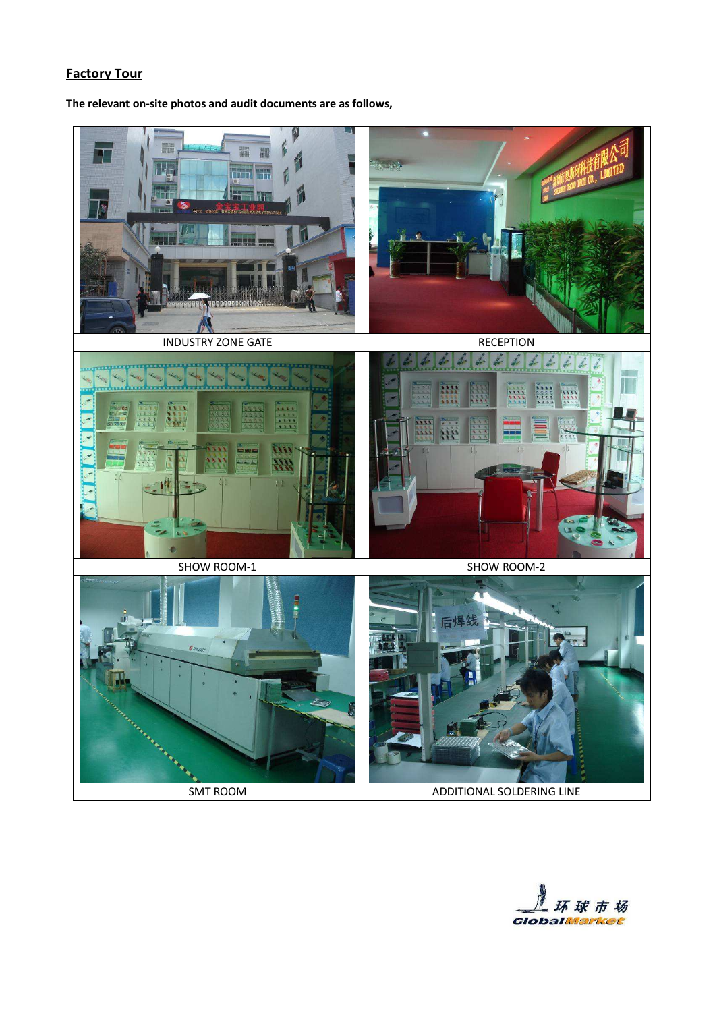## **Factory Tour**

The relevant on-site photos and audit documents are as follows,



环球市场 **GlobalWarket**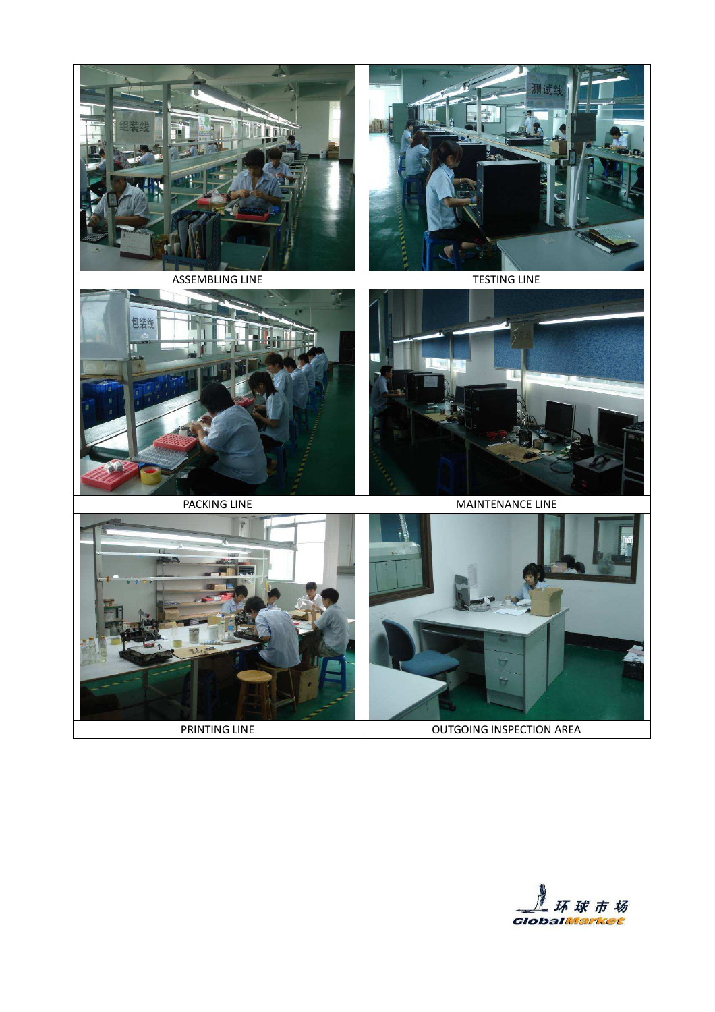

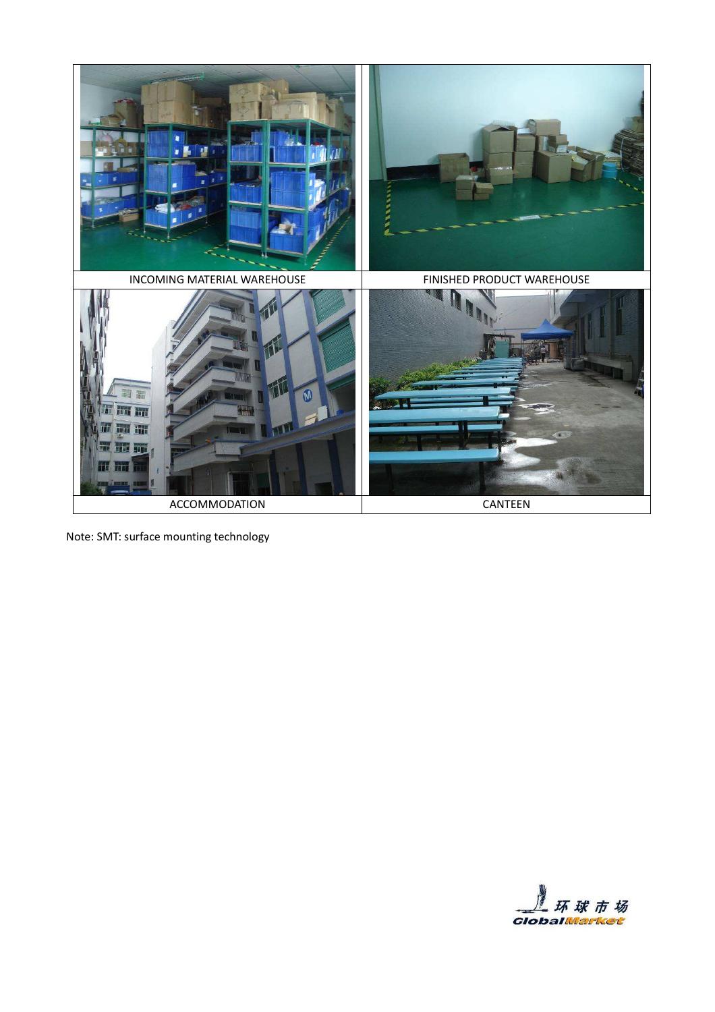

Note: SMT: surface mounting technology